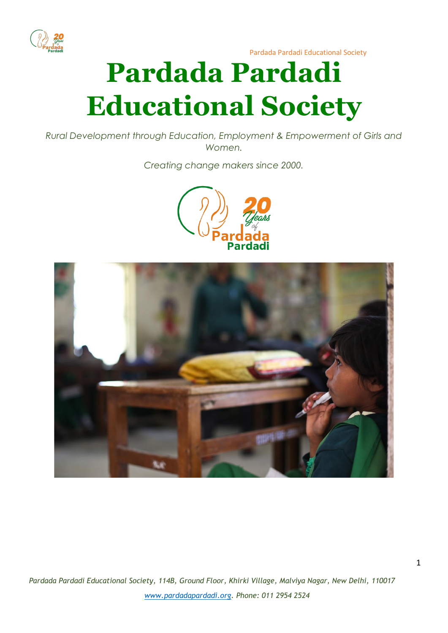

# **Pardada Pardadi Educational Society**

*Rural Development through Education, Employment & Empowerment of Girls and Women.*

*Creating change makers since 2000.*



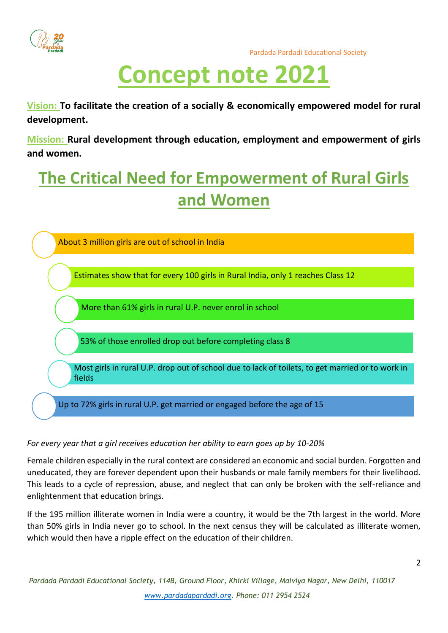

## **Concept note 2021**

**Vision: To facilitate the creation of a socially & economically empowered model for rural development.**

**Mission: Rural development through education, employment and empowerment of girls and women.**

### **The Critical Need for Empowerment of Rural Girls and Women**



#### *For every year that a girl receives education her ability to earn goes up by 10-20%*

Female children especially in the rural context are considered an economic and social burden. Forgotten and uneducated, they are forever dependent upon their husbands or male family members for their livelihood. This leads to a cycle of repression, abuse, and neglect that can only be broken with the self-reliance and enlightenment that education brings.

If the 195 million illiterate women in India were a country, it would be the 7th largest in the world. More than 50% girls in India never go to school. In the next census they will be calculated as illiterate women, which would then have a ripple effect on the education of their children.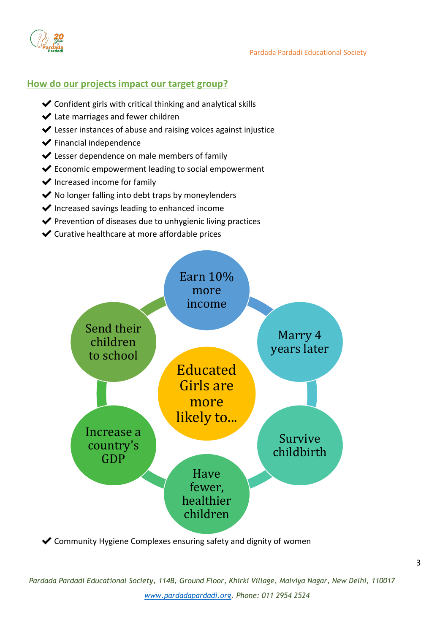

#### **How do our projects impact our target group?**

- ✔Confident girls with critical thinking and analytical skills
- ◆ Late marriages and fewer children
- ✔Lesser instances of abuse and raising voices against injustice
- ✔Financial independence
- ✔Lesser dependence on male members of family
- ✔Economic empowerment leading to social empowerment
- $\blacktriangleright$  Increased income for family
- $\blacktriangleright$  No longer falling into debt traps by moneylenders
- $\blacktriangleright$  Increased savings leading to enhanced income
- ◆ Prevention of diseases due to unhygienic living practices
- ✔Curative healthcare at more affordable prices



✔Community Hygiene Complexes ensuring safety and dignity of women

*Pardada Pardadi Educational Society, 114B, Ground Floor, Khirki Village, Malviya Nagar, New Delhi, 110017 [www.pardadapardadi.org.](http://www.pardadapardadi.org/) Phone: 011 2954 2524*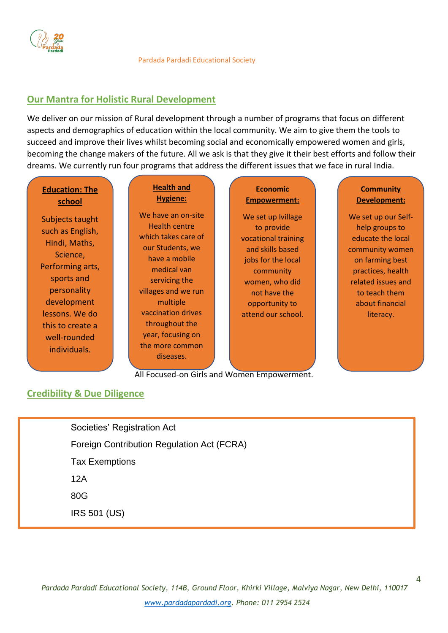

#### **Our Mantra for Holistic Rural Development**

We deliver on our mission of Rural development through a number of programs that focus on different aspects and demographics of education within the local community. We aim to give them the tools to succeed and improve their lives whilst becoming social and economically empowered women and girls, becoming the change makers of the future. All we ask is that they give it their best efforts and follow their dreams. We currently run four programs that address the different issues that we face in rural India.

#### **Education: The school**

Subjects taught such as English, Hindi, Maths, Science, Performing arts, sports and personality development lessons. We do this to create a well-rounded individuals.

#### **Health and Hygiene:**

We have an on-site Health centre which takes care of our Students, we have a mobile medical van servicing the villages and we run multiple vaccination drives throughout the year, focusing on the more common diseases.

Champion GuideStar India Platinum Certification

#### **Economic Empowerment:**

We set up Ivillage to provide vocational training and skills based jobs for the local community women, who did not have the opportunity to attend our school.

#### **Community Development:**

We set up our Selfhelp groups to educate the local community women on farming best practices, health related issues and to teach them about financial literacy.

4

All Focused-on Girls and Women Empowerment.

#### **Credibility & Due Diligence**

Societies' Registration Act Foreign Contribution Regulation Act (FCRA) Tax Exemptions 12A 80G IRS 501 (US)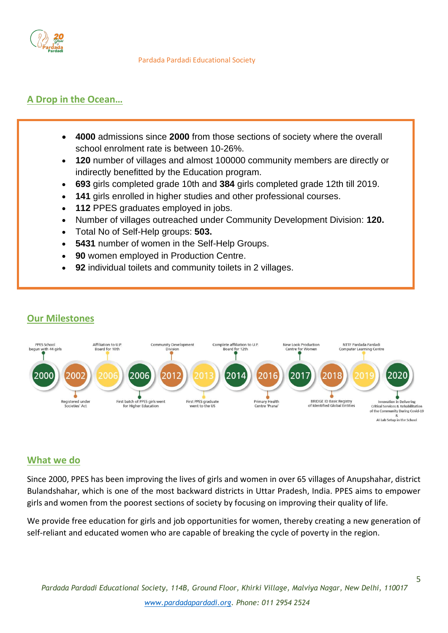

#### **A Drop in the Ocean…**

- **4000** admissions since **2000** from those sections of society where the overall school enrolment rate is between 10-26%.
- **120** number of villages and almost 100000 community members are directly or indirectly benefitted by the Education program.
- **693** girls completed grade 10th and **384** girls completed grade 12th till 2019.
- **141** girls enrolled in higher studies and other professional courses.
- **112** PPES graduates employed in jobs.
- Number of villages outreached under Community Development Division: **120.**
- Total No of Self-Help groups: **503.**
- **5431** number of women in the Self-Help Groups.
- **90** women employed in Production Centre.
- **92** individual toilets and community toilets in 2 villages.



#### **What we do**

**Our Milestones**

Since 2000, PPES has been improving the lives of girls and women in over 65 villages of Anupshahar, district Bulandshahar, which is one of the most backward districts in Uttar Pradesh, India. PPES aims to empower girls and women from the poorest sections of society by focusing on improving their quality of life.

We provide free education for girls and job opportunities for women, thereby creating a new generation of self-reliant and educated women who are capable of breaking the cycle of poverty in the region.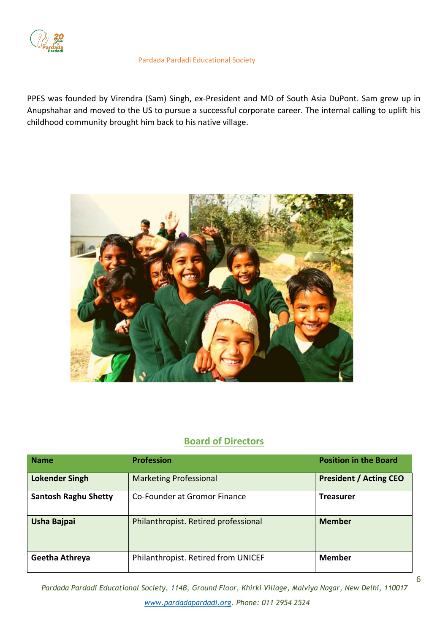

PPES was founded by Virendra (Sam) Singh, ex-President and MD of South Asia DuPont. Sam grew up in Anupshahar and moved to the US to pursue a successful corporate career. The internal calling to uplift his childhood community brought him back to his native village.



#### **Board of Directors**

| <b>Name</b>                 | <b>Profession</b>                    | <b>Position in the Board</b>  |  |  |
|-----------------------------|--------------------------------------|-------------------------------|--|--|
| <b>Lokender Singh</b>       | <b>Marketing Professional</b>        | <b>President / Acting CEO</b> |  |  |
| <b>Santosh Raghu Shetty</b> | Co-Founder at Gromor Finance         | <b>Treasurer</b>              |  |  |
| Usha Bajpai                 | Philanthropist. Retired professional | <b>Member</b>                 |  |  |
| Geetha Athreya              | Philanthropist. Retired from UNICEF  | <b>Member</b>                 |  |  |

*Pardada Pardadi Educational Society, 114B, Ground Floor, Khirki Village, Malviya Nagar, New Delhi, 110017 [www.pardadapardadi.org.](http://www.pardadapardadi.org/) Phone: 011 2954 2524*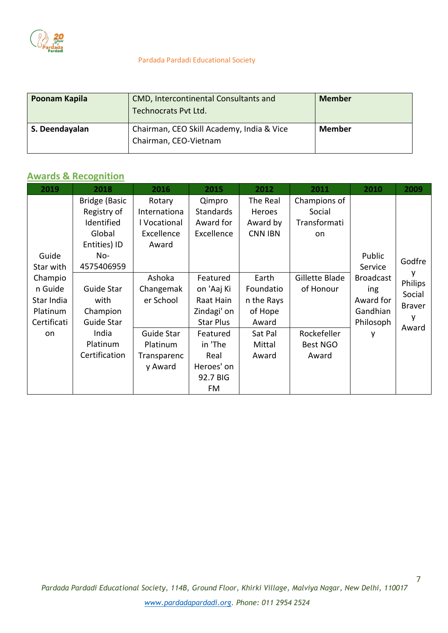

| Poonam Kapila  | <b>CMD, Intercontinental Consultants and</b><br>Technocrats Pvt Ltd. | <b>Member</b> |
|----------------|----------------------------------------------------------------------|---------------|
| S. Deendayalan | Chairman, CEO Skill Academy, India & Vice<br>Chairman, CEO-Vietnam   | <b>Member</b> |

#### **Awards & Recognition**

| 2019        | 2018                 | 2016         | 2015             | 2012           | 2011            | 2010             | 2009          |
|-------------|----------------------|--------------|------------------|----------------|-----------------|------------------|---------------|
|             | <b>Bridge (Basic</b> | Rotary       | Qimpro           | The Real       | Champions of    |                  |               |
|             | Registry of          | Internationa | <b>Standards</b> | Heroes         | Social          |                  |               |
|             | Identified           | l Vocational | Award for        | Award by       | Transformati    |                  |               |
|             | Global               | Excellence   | Excellence       | <b>CNN IBN</b> | on              |                  |               |
|             | Entities) ID         | Award        |                  |                |                 |                  |               |
| Guide       | $No-$                |              |                  |                |                 | Public           | Godfre        |
| Star with   | 4575406959           |              |                  |                |                 | Service          |               |
| Champio     |                      | Ashoka       | Featured         | Earth          | Gillette Blade  | <b>Broadcast</b> | Philips       |
| n Guide     | Guide Star           | Changemak    | on 'Aaj Ki       | Foundatio      | of Honour       | ing              | Social        |
| Star India  | with                 | er School    | Raat Hain        | n the Rays     |                 | Award for        | <b>Braver</b> |
| Platinum    | Champion             |              | Zindagi' on      | of Hope        |                 | Gandhian         |               |
| Certificati | Guide Star           |              | <b>Star Plus</b> | Award          |                 | Philosoph        | Award         |
| on.         | India                | Guide Star   | Featured         | Sat Pal        | Rockefeller     | у                |               |
|             | Platinum             | Platinum     | in 'The          | Mittal         | <b>Best NGO</b> |                  |               |
|             | Certification        | Transparenc  | Real             | Award          | Award           |                  |               |
|             |                      | y Award      | Heroes' on       |                |                 |                  |               |
|             |                      |              | 92.7 BIG         |                |                 |                  |               |
|             |                      |              | FM               |                |                 |                  |               |

7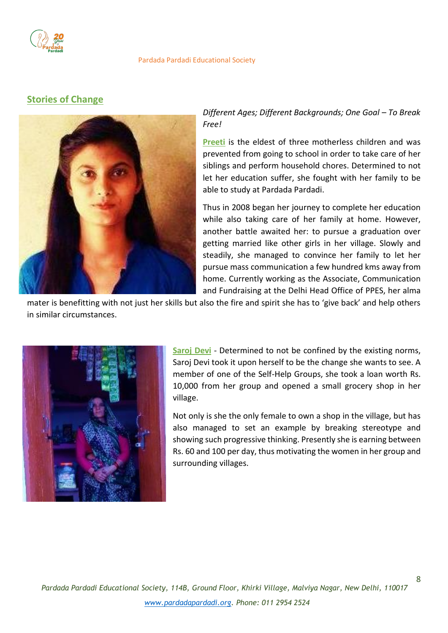

#### **Stories of Change**



*Different Ages; Different Backgrounds; One Goal - To Break Free!*

**Preeti** is the eldest of three motherless children and was prevented from going to school in order to take care of her siblings and perform household chores. Determined to not let her education suffer, she fought with her family to be able to study at Pardada Pardadi.

Thus in 2008 began her journey to complete her education while also taking care of her family at home. However, another battle awaited her: to pursue a graduation over getting married like other girls in her village. Slowly and steadily, she managed to convince her family to let her pursue mass communication a few hundred kms away from home. Currently working as the Associate, Communication and Fundraising at the Delhi Head Office of PPES, her alma

mater is benefitting with not just her skills but also the fire and spirit she has to 'give back' and help others in similar circumstances.



**Saroj Devi** - Determined to not be confined by the existing norms, Saroj Devi took it upon herself to be the change she wants to see. A member of one of the Self-Help Groups, she took a loan worth Rs. 10,000 from her group and opened a small grocery shop in her village.

Not only is she the only female to own a shop in the village, but has also managed to set an example by breaking stereotype and showing such progressive thinking. Presently she is earning between Rs. 60 and 100 per day, thus motivating the women in her group and surrounding villages.

8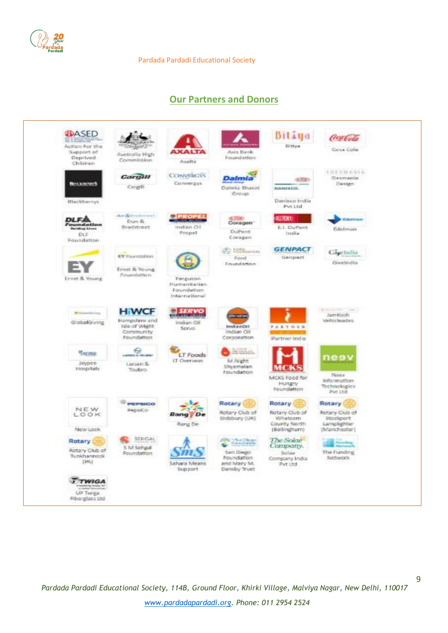

#### **Our Partners and Donors**



9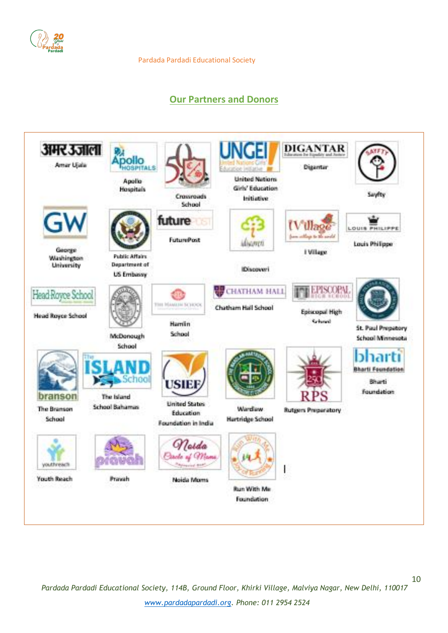

### **Our Partners and Donors**